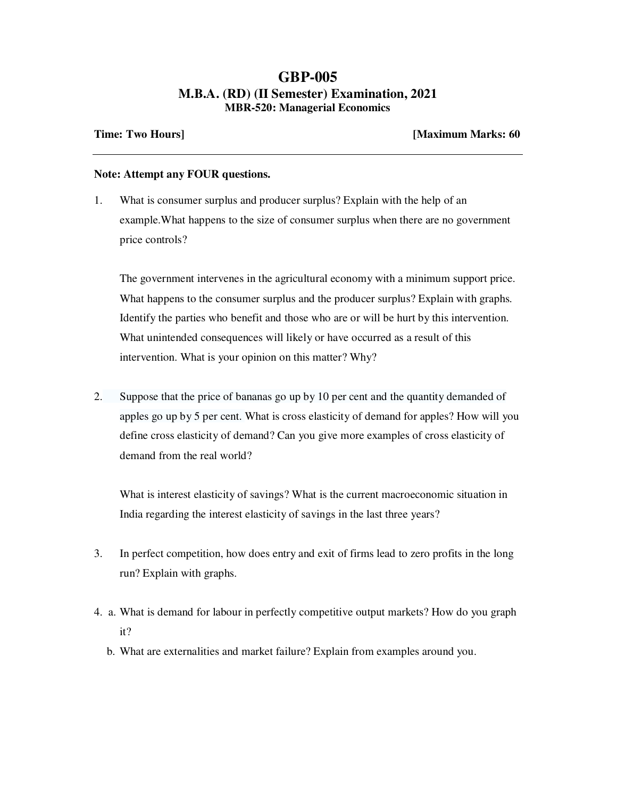## **GBP-005 M.B.A. (RD) (II Semester) Examination, 2021 MBR-520: Managerial Economics**

**Time: Two Hours] [Maximum Marks: 60** 

## **Note: Attempt any FOUR questions.**

1. What is consumer surplus and producer surplus? Explain with the help of an example.What happens to the size of consumer surplus when there are no government price controls?

The government intervenes in the agricultural economy with a minimum support price. What happens to the consumer surplus and the producer surplus? Explain with graphs. Identify the parties who benefit and those who are or will be hurt by this intervention. What unintended consequences will likely or have occurred as a result of this intervention. What is your opinion on this matter? Why?

2. Suppose that the price of bananas go up by 10 per cent and the quantity demanded of apples go up by 5 per cent. What is cross elasticity of demand for apples? How will you define cross elasticity of demand? Can you give more examples of cross elasticity of demand from the real world?

What is interest elasticity of savings? What is the current macroeconomic situation in India regarding the interest elasticity of savings in the last three years?

- 3. In perfect competition, how does entry and exit of firms lead to zero profits in the long run? Explain with graphs.
- 4. a. What is demand for labour in perfectly competitive output markets? How do you graph it?
	- b. What are externalities and market failure? Explain from examples around you.